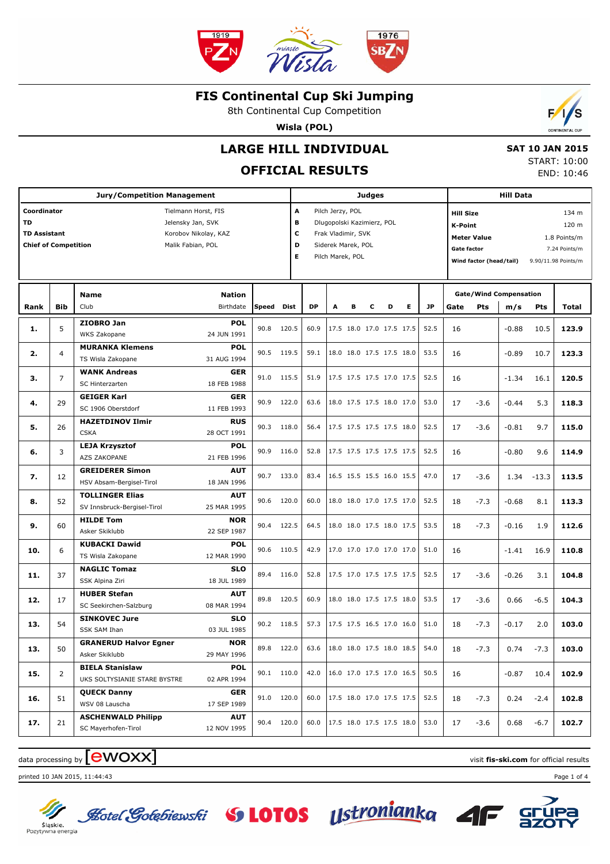

8th Continental Cup Competition

**Wisla (POL)**

# **LARGE HILL INDIVIDUAL**

### **OFFICIAL RESULTS**

 **SAT 10 JAN 2015** START: 10:00 END: 10:46

 $\mathcal{L}$ 

|                                                                                                                                                                         | Judges         |                                                                     |                                         |              |                |                                                                                                                                          |   |   | <b>Hill Data</b> |                                                      |           |              |          |                                                                                                                                                                   |                    |             |                |
|-------------------------------------------------------------------------------------------------------------------------------------------------------------------------|----------------|---------------------------------------------------------------------|-----------------------------------------|--------------|----------------|------------------------------------------------------------------------------------------------------------------------------------------|---|---|------------------|------------------------------------------------------|-----------|--------------|----------|-------------------------------------------------------------------------------------------------------------------------------------------------------------------|--------------------|-------------|----------------|
| Coordinator<br>Tielmann Horst, FIS<br><b>TD</b><br>Jelensky Jan, SVK<br><b>TD Assistant</b><br>Korobov Nikolay, KAZ<br><b>Chief of Competition</b><br>Malik Fabian, POL |                |                                                                     |                                         |              |                | A<br>Pilch Jerzy, POL<br>в<br>Dlugopolski Kazimierz, POL<br>c<br>Frak Vladimir, SVK<br>D<br>Siderek Marek, POL<br>E.<br>Pilch Marek, POL |   |   |                  |                                                      |           |              |          | <b>Hill Size</b><br><b>K-Point</b><br><b>Meter Value</b><br>1.8 Points/m<br><b>Gate factor</b><br>7.24 Points/m<br>Wind factor (head/tail)<br>9.90/11.98 Points/m |                    |             |                |
| Rank                                                                                                                                                                    | <b>Bib</b>     | <b>Name</b><br>Club                                                 | Speed                                   | Dist         | <b>DP</b>      | A                                                                                                                                        | в | c | D                | Е                                                    | <b>JP</b> | Gate         | Pts      | <b>Gate/Wind Compensation</b><br>m/s                                                                                                                              | <b>Pts</b>         | Total       |                |
| 1.                                                                                                                                                                      | 5              | ZIOBRO Jan<br>WKS Zakopane                                          | POL<br>24 JUN 1991                      | 90.8         | 120.5          | 60.9                                                                                                                                     |   |   |                  | 17.5 18.0 17.0 17.5 17.5                             |           | 52.5         | 16       |                                                                                                                                                                   | $-0.88$            | 10.5        | 123.9          |
| 2.                                                                                                                                                                      | 4              | <b>MURANKA Klemens</b><br>TS Wisla Zakopane                         | POL<br>31 AUG 1994                      | 90.5         | 119.5          | 59.1                                                                                                                                     |   |   |                  | 18.0 18.0 17.5 17.5 18.0                             |           | 53.5         | 16       |                                                                                                                                                                   | $-0.89$            | 10.7        | 123.3          |
| з.                                                                                                                                                                      | $\overline{7}$ | <b>WANK Andreas</b><br><b>SC Hinterzarten</b>                       | <b>GER</b><br>18 FEB 1988               | 91.0         | 115.5          | 51.9                                                                                                                                     |   |   |                  | 17.5 17.5 17.5 17.0 17.5                             |           | 52.5         | 16       |                                                                                                                                                                   | $-1.34$            | 16.1        | 120.5          |
| 4.                                                                                                                                                                      | 29             | <b>GEIGER Karl</b><br>SC 1906 Oberstdorf<br><b>HAZETDINOV Ilmir</b> | <b>GER</b><br>11 FEB 1993<br><b>RUS</b> | 90.9         | 122.0          | 63.6                                                                                                                                     |   |   |                  | 18.0 17.5 17.5 18.0 17.0                             |           | 53.0         | 17       | $-3.6$                                                                                                                                                            | $-0.44$            | 5.3         | 118.3          |
| 5.                                                                                                                                                                      | 26             | <b>CSKA</b><br><b>LEJA Krzysztof</b>                                | 28 OCT 1991<br>POL                      | 90.3         | 118.0          | 56.4                                                                                                                                     |   |   |                  | 17.5 17.5 17.5 17.5 18.0                             |           | 52.5         | 17       | $-3.6$                                                                                                                                                            | $-0.81$            | 9.7         | 115.0          |
| 6.                                                                                                                                                                      | 3              | <b>AZS ZAKOPANE</b><br><b>GREIDERER Simon</b>                       | 21 FEB 1996<br><b>AUT</b>               | 90.9         | 116.0          | 52.8                                                                                                                                     |   |   |                  | 17.5 17.5 17.5 17.5 17.5                             |           | 52.5         | 16       |                                                                                                                                                                   | $-0.80$            | 9.6         | 114.9          |
| 7.                                                                                                                                                                      | 12             | HSV Absam-Bergisel-Tirol<br><b>TOLLINGER Elias</b>                  | 18 JAN 1996<br><b>AUT</b>               | 90.7         | 133.0          | 83.4                                                                                                                                     |   |   |                  | 16.5 15.5 15.5 16.0 15.5                             |           | 47.0         | 17       | $-3.6$                                                                                                                                                            | 1.34               | $-13.3$     | 113.5          |
| 8.                                                                                                                                                                      | 52             | SV Innsbruck-Bergisel-Tirol<br><b>HILDE Tom</b>                     | 25 MAR 1995<br><b>NOR</b>               | 90.6         | 120.0          | 60.0                                                                                                                                     |   |   |                  | 18.0 18.0 17.0 17.5 17.0                             |           | 52.5         | 18       | $-7.3$                                                                                                                                                            | $-0.68$            | 8.1         | 113.3          |
| 9.<br>10.                                                                                                                                                               | 60<br>6        | Asker Skiklubb<br><b>KUBACKI Dawid</b>                              | 22 SEP 1987<br>POL                      | 90.4<br>90.6 | 122.5<br>110.5 | 64.5<br>42.9                                                                                                                             |   |   |                  | 18.0 18.0 17.5 18.0 17.5<br>17.0 17.0 17.0 17.0 17.0 |           | 53.5<br>51.0 | 18<br>16 | $-7.3$                                                                                                                                                            | $-0.16$<br>$-1.41$ | 1.9<br>16.9 | 112.6<br>110.8 |
| 11.                                                                                                                                                                     | 37             | TS Wisla Zakopane<br><b>NAGLIC Tomaz</b>                            | 12 MAR 1990<br>SLO                      | 89.4         | 116.0          | 52.8                                                                                                                                     |   |   |                  | 17.5 17.0 17.5 17.5 17.5                             |           | 52.5         | 17       | $-3.6$                                                                                                                                                            | $-0.26$            | 3.1         | 104.8          |
| 12.                                                                                                                                                                     | 17             | SSK Alpina Ziri<br><b>HUBER Stefan</b>                              | 18 JUL 1989<br><b>AUT</b>               | 89.8         | 120.5          | 60.9                                                                                                                                     |   |   |                  | 18.0 18.0 17.5 17.5 18.0                             |           | 53.5         | 17       | $-3.6$                                                                                                                                                            | 0.66               | $-6.5$      | 104.3          |
| 13.                                                                                                                                                                     | 54             | SC Seekirchen-Salzburg<br><b>SINKOVEC Jure</b><br>SSK SAM Ihan      | 08 MAR 1994<br>SLO<br>03 JUL 1985       | 90.2 118.5   |                | 57.3                                                                                                                                     |   |   |                  | 17.5 17.5 16.5 17.0 16.0                             |           | 51.0         | 18       | $-7.3$                                                                                                                                                            | $-0.17$            | 2.0         | 103.0          |
| 13.                                                                                                                                                                     | 50             | <b>GRANERUD Halvor Egner</b><br>Asker Skiklubb                      | <b>NOR</b><br>29 MAY 1996               | 89.8 122.0   |                | 63.6                                                                                                                                     |   |   |                  | 18.0 18.0 17.5 18.0 18.5                             |           | 54.0         | 18       | $-7.3$                                                                                                                                                            | 0.74               | $-7.3$      | 103.0          |
| 15.                                                                                                                                                                     | 2              | <b>BIELA Stanislaw</b><br>UKS SOLTYSIANIE STARE BYSTRE              | <b>POL</b><br>02 APR 1994               | 90.1 110.0   |                | 42.0                                                                                                                                     |   |   |                  | 16.0 17.0 17.5 17.0 16.5                             |           | 50.5         | 16       |                                                                                                                                                                   | $-0.87$            | 10.4        | 102.9          |
| 16.                                                                                                                                                                     | 51             | <b>QUECK Danny</b><br>WSV 08 Lauscha                                | <b>GER</b><br>17 SEP 1989               | 91.0 120.0   |                | 60.0                                                                                                                                     |   |   |                  | 17.5 18.0 17.0 17.5 17.5                             |           | 52.5         | 18       | $-7.3$                                                                                                                                                            | 0.24               | $-2.4$      | 102.8          |
| 17.                                                                                                                                                                     | 21             | <b>ASCHENWALD Philipp</b><br>SC Mayerhofen-Tirol                    | <b>AUT</b><br>12 NOV 1995               | 90.4 120.0   |                | 60.0                                                                                                                                     |   |   |                  | 17.5 18.0 17.5 17.5 18.0                             |           | 53.0         | 17       | $-3.6$                                                                                                                                                            | 0.68               | $-6.7$      | 102.7          |

## data processing by **CWOXX** and  $\blacksquare$  and  $\blacksquare$  and  $\blacksquare$  and  $\blacksquare$  and  $\blacksquare$  and  $\blacksquare$  and  $\blacksquare$  and  $\blacksquare$  and  $\blacksquare$  and  $\blacksquare$  and  $\blacksquare$  and  $\blacksquare$  and  $\blacksquare$  and  $\blacksquare$  and  $\blacksquare$  and  $\blacksquare$  and  $\blacksquare$  and  $\blacks$

printed 10 JAN 2015, 11:44:43 Page 1 of 4



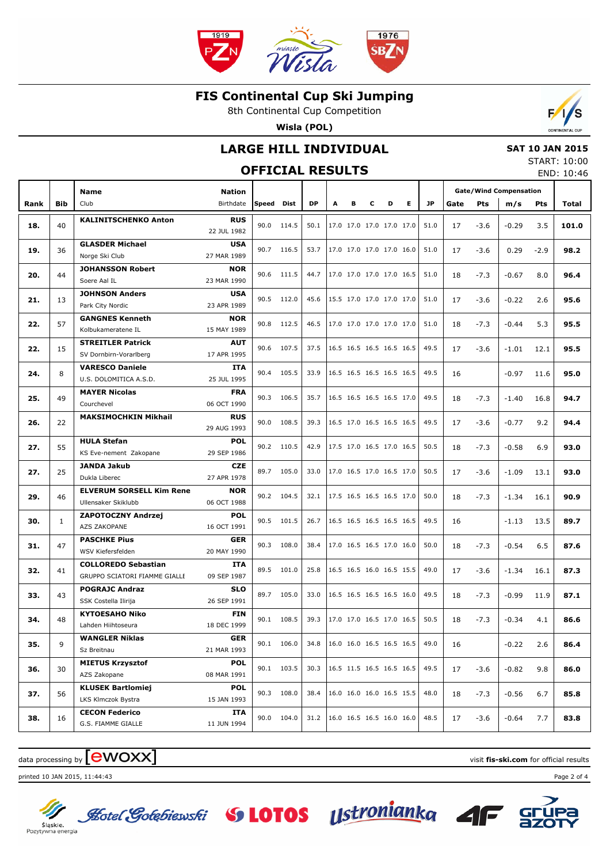

8th Continental Cup Competition

**Wisla (POL)**



#### **LARGE HILL INDIVIDUAL**

#### **SAT 10 JAN 2015** START: 10:00

|      |              |                                             |                           | <b>OFFICIAL RESULTS</b> |            |      |   |   |   |                          |    |      |      |            |                               |        | JIANI . 10.00<br>END: 10:46 |
|------|--------------|---------------------------------------------|---------------------------|-------------------------|------------|------|---|---|---|--------------------------|----|------|------|------------|-------------------------------|--------|-----------------------------|
|      |              | <b>Name</b>                                 | <b>Nation</b>             |                         |            |      |   |   |   |                          |    |      |      |            | <b>Gate/Wind Compensation</b> |        |                             |
| Rank | Bib          | Club                                        | Birthdate                 | Speed Dist              |            | DP   | A | в | c | D                        | E. | JP.  | Gate | <b>Pts</b> | m/s                           | Pts    | Total                       |
|      |              | <b>KALINITSCHENKO Anton</b>                 | <b>RUS</b>                |                         |            |      |   |   |   |                          |    |      |      |            |                               |        |                             |
| 18.  | 40           |                                             | 22 JUL 1982               | 90.0                    | 114.5      | 50.1 |   |   |   | 17.0 17.0 17.0 17.0 17.0 |    | 51.0 | 17   | $-3.6$     | $-0.29$                       | 3.5    | 101.0                       |
| 19.  | 36           | <b>GLASDER Michael</b>                      | <b>USA</b>                |                         | 90.7 116.5 | 53.7 |   |   |   | 17.0 17.0 17.0 17.0 16.0 |    | 51.0 | 17   | $-3.6$     | 0.29                          | $-2.9$ | 98.2                        |
|      |              | Norge Ski Club                              | 27 MAR 1989               |                         |            |      |   |   |   |                          |    |      |      |            |                               |        |                             |
| 20.  | 44           | <b>JOHANSSON Robert</b>                     | <b>NOR</b>                |                         | 90.6 111.5 | 44.7 |   |   |   | 17.0 17.0 17.0 17.0 16.5 |    | 51.0 | 18   | $-7.3$     | $-0.67$                       | 8.0    | 96.4                        |
|      |              | Soere Aal IL                                | 23 MAR 1990               |                         |            |      |   |   |   |                          |    |      |      |            |                               |        |                             |
| 21.  | 13           | <b>JOHNSON Anders</b>                       | <b>USA</b>                |                         | 90.5 112.0 | 45.6 |   |   |   | 15.5 17.0 17.0 17.0 17.0 |    | 51.0 | 17   | $-3.6$     | $-0.22$                       | 2.6    | 95.6                        |
|      |              | Park City Nordic                            | 23 APR 1989               |                         |            |      |   |   |   |                          |    |      |      |            |                               |        |                             |
| 22.  | 57           | <b>GANGNES Kenneth</b>                      | <b>NOR</b>                |                         | 90.8 112.5 | 46.5 |   |   |   | 17.0 17.0 17.0 17.0 17.0 |    | 51.0 | 18   | $-7.3$     | $-0.44$                       | 5.3    | 95.5                        |
|      |              | Kolbukameratene IL                          | 15 MAY 1989               |                         |            |      |   |   |   |                          |    |      |      |            |                               |        |                             |
| 22.  | 15           | <b>STREITLER Patrick</b>                    | <b>AUT</b>                |                         | 90.6 107.5 | 37.5 |   |   |   | 16.5 16.5 16.5 16.5 16.5 |    | 49.5 | 17   | $-3.6$     | $-1.01$                       | 12.1   | 95.5                        |
|      |              | SV Dornbirn-Vorarlberg                      | 17 APR 1995               |                         |            |      |   |   |   |                          |    |      |      |            |                               |        |                             |
| 24.  | 8            | <b>VARESCO Daniele</b>                      | ITA                       | 90.4                    | 105.5      | 33.9 |   |   |   | 16.5 16.5 16.5 16.5 16.5 |    | 49.5 | 16   |            | $-0.97$                       | 11.6   | 95.0                        |
|      |              | U.S. DOLOMITICA A.S.D.                      | 25 JUL 1995               |                         |            |      |   |   |   |                          |    |      |      |            |                               |        |                             |
| 25.  | 49           | <b>MAYER Nicolas</b><br>Courchevel          | <b>FRA</b><br>06 OCT 1990 | 90.3                    | 106.5      | 35.7 |   |   |   | 16.5 16.5 16.5 16.5 17.0 |    | 49.5 | 18   | $-7.3$     | $-1.40$                       | 16.8   | 94.7                        |
|      |              | <b>MAKSIMOCHKIN Mikhail</b>                 | <b>RUS</b>                |                         |            |      |   |   |   |                          |    |      |      |            |                               |        |                             |
| 26.  | 22           |                                             | 90.0<br>29 AUG 1993       |                         | 108.5      | 39.3 |   |   |   | 16.5 17.0 16.5 16.5 16.5 |    | 49.5 | 17   | $-3.6$     | $-0.77$                       | 9.2    | 94.4                        |
|      |              | <b>HULA Stefan</b>                          | <b>POL</b>                |                         |            |      |   |   |   |                          |    |      |      |            |                               |        |                             |
| 27.  | 55           | KS Eve-nement Zakopane                      | 29 SEP 1986               |                         | 90.2 110.5 | 42.9 |   |   |   | 17.5 17.0 16.5 17.0 16.5 |    | 50.5 | 18   | $-7.3$     | $-0.58$                       | 6.9    | 93.0                        |
|      |              | <b>JANDA Jakub</b>                          | <b>CZE</b>                |                         |            |      |   |   |   |                          |    |      |      |            |                               |        |                             |
| 27.  | 25           | Dukla Liberec                               | 27 APR 1978               |                         | 89.7 105.0 | 33.0 |   |   |   | 17.0 16.5 17.0 16.5 17.0 |    | 50.5 | 17   | $-3.6$     | $-1.09$                       | 13.1   | 93.0                        |
|      |              | <b>ELVERUM SORSELL Kim Rene</b>             | <b>NOR</b>                |                         |            |      |   |   |   |                          |    |      |      |            |                               |        |                             |
| 29.  | 46           | Ullensaker Skiklubb                         | 06 OCT 1988               |                         | 90.2 104.5 | 32.1 |   |   |   | 17.5 16.5 16.5 16.5 17.0 |    | 50.0 | 18   | $-7.3$     | $-1.34$                       | 16.1   | 90.9                        |
|      |              | ZAPOTOCZNY Andrzej                          | <b>POL</b>                |                         |            |      |   |   |   |                          |    |      |      |            |                               |        |                             |
| 30.  | $\mathbf{1}$ | AZS ZAKOPANE                                | 16 OCT 1991               |                         | 90.5 101.5 | 26.7 |   |   |   | 16.5 16.5 16.5 16.5 16.5 |    | 49.5 | 16   |            | $-1.13$                       | 13.5   | 89.7                        |
|      |              | <b>PASCHKE Pius</b>                         | GER                       |                         |            |      |   |   |   |                          |    |      |      |            |                               |        |                             |
| 31.  | 47           | WSV Kiefersfelden                           | 20 MAY 1990               | 90.3                    | 108.0      | 38.4 |   |   |   | 17.0 16.5 16.5 17.0 16.0 |    | 50.0 | 18   | $-7.3$     | $-0.54$                       | 6.5    | 87.6                        |
| 32.  | 41           | <b>COLLOREDO Sebastian</b>                  | ITA                       | 89.5                    | 101.0      | 25.8 |   |   |   | 16.5 16.5 16.0 16.5 15.5 |    | 49.0 | 17   | $-3.6$     | $-1.34$                       | 16.1   | 87.3                        |
|      |              | GRUPPO SCIATORI FIAMME GIALLE               | 09 SEP 1987               |                         |            |      |   |   |   |                          |    |      |      |            |                               |        |                             |
| 33.  | 43           | <b>POGRAJC Andraz</b>                       | SLO                       | 89.7                    | 105.0      | 33.0 |   |   |   | 16.5 16.5 16.5 16.5 16.0 |    | 49.5 | 18   | $-7.3$     | $-0.99$                       | 11.9   | 87.1                        |
|      |              | SSK Costella Ilirija                        | 26 SEP 1991               |                         |            |      |   |   |   |                          |    |      |      |            |                               |        |                             |
| 34.  | 48           | <b>KYTOESAHO Niko</b>                       | <b>FIN</b>                | 90.1                    | 108.5      | 39.3 |   |   |   |                          |    |      | 18   | $-7.3$     | $-0.34$                       | 4.1    | 86.6                        |
|      |              | Lahden Hiihtoseura                          | 18 DEC 1999               |                         |            |      |   |   |   |                          |    |      |      |            |                               |        |                             |
| 35.  | 9            | <b>WANGLER Niklas</b>                       | <b>GER</b>                |                         | 90.1 106.0 | 34.8 |   |   |   | 16.0 16.0 16.5 16.5 16.5 |    | 49.0 | 16   |            | $-0.22$                       | 2.6    | 86.4                        |
|      |              | Sz Breitnau                                 | 21 MAR 1993               |                         |            |      |   |   |   |                          |    |      |      |            |                               |        |                             |
| 36.  | 30           | <b>MIETUS Krzysztof</b>                     | <b>POL</b>                |                         | 90.1 103.5 | 30.3 |   |   |   | 16.5 11.5 16.5 16.5 16.5 |    | 49.5 | 17   | $-3.6$     | $-0.82$                       | 9.8    | 86.0                        |
|      |              | AZS Zakopane                                | 08 MAR 1991               |                         |            |      |   |   |   |                          |    |      |      |            |                               |        |                             |
| 37.  | 56           | <b>KLUSEK Bartlomiej</b>                    | <b>POL</b>                |                         | 90.3 108.0 | 38.4 |   |   |   | 16.0 16.0 16.0 16.5 15.5 |    | 48.0 | 18   | $-7.3$     | $-0.56$                       | 6.7    | 85.8                        |
|      |              | LKS Klmczok Bystra                          | 15 JAN 1993               |                         |            |      |   |   |   |                          |    |      |      |            |                               |        |                             |
| 38.  | 16           | <b>CECON Federico</b><br>G.S. FIAMME GIALLE | ITA                       |                         | 90.0 104.0 | 31.2 |   |   |   | 16.0 16.5 16.5 16.0 16.0 |    | 48.5 | 17   | $-3.6$     | $-0.64$                       | 7.7    | 83.8                        |
|      |              |                                             | 11 JUN 1994               |                         |            |      |   |   |   |                          |    |      |      |            |                               |        |                             |

### $\frac{1}{2}$  data processing by  $\boxed{\text{ewOX}}$

printed 10 JAN 2015, 11:44:43 Page 2 of 4





Sląskie.<br>Pozytywna energia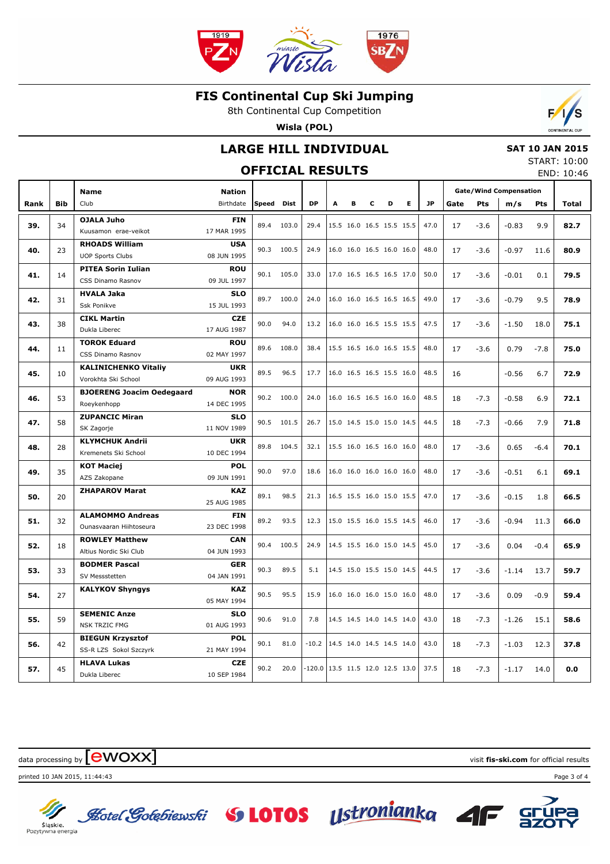

8th Continental Cup Competition

**Wisla (POL)**



#### **LARGE HILL INDIVIDUAL OFFICIAL RESULTS**

#### **SAT 10 JAN 2015** START: 10:00

END: 10:46

|      |            | <b>Name</b>                                        | <b>Nation</b>             |              |             |                                   |   |                          |                          |                          |                          |           | <b>Gate/Wind Compensation</b> |        |         |            |       |
|------|------------|----------------------------------------------------|---------------------------|--------------|-------------|-----------------------------------|---|--------------------------|--------------------------|--------------------------|--------------------------|-----------|-------------------------------|--------|---------|------------|-------|
| Rank | <b>Bib</b> | Club                                               | Birthdate                 | <b>Speed</b> | <b>Dist</b> | <b>DP</b>                         | A | в                        | c                        | D                        | E.                       | <b>JP</b> | Gate                          | Pts    | m/s     | <b>Pts</b> | Total |
|      |            | <b>OJALA Juho</b>                                  | <b>FIN</b>                |              |             |                                   |   |                          |                          |                          |                          |           |                               |        |         |            |       |
| 39.  | 34         | Kuusamon erae-veikot                               | 17 MAR 1995               | 89.4         | 103.0       | 29.4                              |   | 15.5 16.0 16.5 15.5 15.5 |                          |                          |                          | 47.0      | 17                            | $-3.6$ | $-0.83$ | 9.9        | 82.7  |
|      |            | <b>RHOADS William</b>                              | <b>USA</b>                | 90.3         | 100.5       | 24.9                              |   |                          |                          | 16.0 16.0 16.5 16.0 16.0 |                          | 48.0      |                               |        |         |            |       |
| 40.  | 23         | <b>UOP Sports Clubs</b>                            | 08 JUN 1995               |              |             |                                   |   |                          |                          |                          |                          |           | 17                            | $-3.6$ | $-0.97$ | 11.6       | 80.9  |
| 41.  | 14         | <b>PITEA Sorin Iulian</b>                          | <b>ROU</b>                | 90.1         | 105.0       | 33.0                              |   | 17.0 16.5 16.5 16.5 17.0 |                          |                          |                          | 50.0      | 17                            | $-3.6$ | $-0.01$ | 0.1        | 79.5  |
|      |            | CSS Dinamo Rasnov                                  | 09 JUL 1997               |              |             |                                   |   |                          |                          |                          |                          |           |                               |        |         |            |       |
| 42.  | 31         | <b>HVALA Jaka</b>                                  | <b>SLO</b>                | 89.7         | 100.0       | 24.0                              |   | 16.0 16.0 16.5 16.5 16.5 |                          |                          |                          | 49.0      | 17                            | $-3.6$ | $-0.79$ | 9.5        | 78.9  |
|      |            | <b>Ssk Ponikve</b>                                 | 15 JUL 1993               |              |             |                                   |   |                          |                          |                          |                          |           |                               |        |         |            |       |
| 43.  | 38         | <b>CIKL Martin</b>                                 | <b>CZE</b>                | 90.0         | 94.0        | 13.2                              |   |                          | 16.0 16.0 16.5 15.5 15.5 |                          |                          | 47.5      | 17                            | $-3.6$ | $-1.50$ | 18.0       | 75.1  |
|      |            | Dukla Liberec                                      | 17 AUG 1987               |              |             |                                   |   |                          |                          |                          |                          |           |                               |        |         |            |       |
| 44.  | 11         | <b>TOROK Eduard</b>                                | <b>ROU</b>                | 89.6         | 108.0       | 38.4                              |   |                          |                          |                          | 15.5 16.5 16.0 16.5 15.5 | 48.0      | 17                            | $-3.6$ | 0.79    | $-7.8$     | 75.0  |
|      |            | CSS Dinamo Rasnov                                  | 02 MAY 1997               |              |             |                                   |   |                          |                          |                          |                          |           |                               |        |         |            |       |
| 45.  | 10         | <b>KALINICHENKO Vitaliy</b><br>Vorokhta Ski School | <b>UKR</b><br>09 AUG 1993 | 89.5         | 96.5        | 17.7                              |   | 16.0 16.5 16.5 15.5 16.0 |                          |                          |                          | 48.5      | 16                            |        | $-0.56$ | 6.7        | 72.9  |
|      |            | <b>BJOERENG Joacim Oedegaard</b>                   | <b>NOR</b>                |              |             |                                   |   |                          |                          |                          |                          |           |                               |        |         |            |       |
| 46.  | 53         | Roeykenhopp                                        | 14 DEC 1995               | 90.2         | 100.0       | 24.0                              |   | 16.0 16.5 16.5 16.0 16.0 |                          |                          |                          | 48.5      | 18                            | $-7.3$ | $-0.58$ | 6.9        | 72.1  |
|      |            | <b>ZUPANCIC Miran</b>                              | <b>SLO</b>                |              |             |                                   |   |                          |                          |                          |                          |           |                               |        |         |            |       |
| 47.  | 58         | SK Zagorje                                         | 11 NOV 1989               | 90.5         | 101.5       | 26.7                              |   | 15.0 14.5 15.0 15.0 14.5 |                          |                          |                          | 44.5      | 18                            | $-7.3$ | $-0.66$ | 7.9        | 71.8  |
|      |            | <b>KLYMCHUK Andrii</b>                             | <b>UKR</b>                |              |             |                                   |   |                          |                          |                          |                          |           |                               |        |         |            |       |
| 48.  | 28         | Kremenets Ski School                               | 10 DEC 1994               | 89.8         | 104.5       | 32.1                              |   | 15.5 16.0 16.5 16.0 16.0 |                          |                          |                          | 48.0      | 17                            | $-3.6$ | 0.65    | $-6.4$     | 70.1  |
| 49.  | 35         | <b>KOT Maciej</b>                                  | <b>POL</b>                | 90.0         | 97.0        | 18.6                              |   | 16.0 16.0 16.0 16.0 16.0 |                          |                          |                          | 48.0      | 17                            |        | $-0.51$ | 6.1        | 69.1  |
|      |            | AZS Zakopane                                       | 09 JUN 1991               |              |             |                                   |   |                          |                          |                          |                          |           |                               | $-3.6$ |         |            |       |
| 50.  | 20         | <b>ZHAPAROV Marat</b>                              | <b>KAZ</b>                | 89.1         | 98.5        | 21.3                              |   |                          |                          |                          | 16.5 15.5 16.0 15.0 15.5 | 47.0      | 17                            | $-3.6$ | $-0.15$ | 1.8        | 66.5  |
|      |            |                                                    | 25 AUG 1985               |              |             |                                   |   |                          |                          |                          |                          |           |                               |        |         |            |       |
| 51.  | 32         | <b>ALAMOMMO Andreas</b>                            | <b>FIN</b>                | 89.2         | 93.5        | 12.3                              |   | 15.0 15.5 16.0 15.5 14.5 |                          |                          |                          | 46.0      | 17                            | $-3.6$ | $-0.94$ | 11.3       | 66.0  |
|      |            | Ounasyaaran Hiihtoseura                            | 23 DEC 1998               |              |             |                                   |   |                          |                          |                          |                          |           |                               |        |         |            |       |
| 52.  | 18         | <b>ROWLEY Matthew</b>                              | <b>CAN</b>                | 90.4         | 100.5       | 24.9                              |   | 14.5 15.5 16.0 15.0 14.5 |                          |                          |                          | 45.0      | 17                            | $-3.6$ | 0.04    | $-0.4$     | 65.9  |
|      |            | Altius Nordic Ski Club                             | 04 JUN 1993               |              |             |                                   |   |                          |                          |                          |                          |           |                               |        |         |            |       |
| 53.  | 33         | <b>BODMER Pascal</b><br>SV Messstetten             | <b>GER</b><br>04 JAN 1991 | 90.3         | 89.5        | 5.1                               |   | 14.5 15.0 15.5 15.0 14.5 |                          |                          |                          | 44.5      | 17                            | $-3.6$ | $-1.14$ | 13.7       | 59.7  |
|      |            | <b>KALYKOV Shyngys</b>                             | <b>KAZ</b>                |              |             |                                   |   |                          |                          |                          |                          |           |                               |        |         |            |       |
| 54.  | 27         |                                                    | 05 MAY 1994               | 90.5         | 95.5        | 15.9                              |   | 16.0 16.0 16.0 15.0 16.0 |                          |                          |                          | 48.0      | 17                            | $-3.6$ | 0.09    | $-0.9$     | 59.4  |
|      |            | <b>SEMENIC Anze</b>                                | <b>SLO</b>                |              |             |                                   |   |                          |                          |                          |                          |           |                               |        |         |            |       |
| 55.  | 59         | <b>NSK TRZIC FMG</b>                               | 01 AUG 1993               | 90.6         | 91.0        | 7.8                               |   | 14.5 14.5 14.0 14.5 14.0 |                          |                          |                          | 43.0      | 18                            | $-7.3$ | $-1.26$ | 15.1       | 58.6  |
|      |            | <b>BIEGUN Krzysztof</b>                            | <b>POL</b>                |              |             |                                   |   |                          |                          |                          |                          |           |                               |        |         |            |       |
| 56.  | 42         | SS-R LZS Sokol Szczyrk                             | 21 MAY 1994               | 90.1         | 81.0        | $-10.2$                           |   | 14.5 14.0 14.5 14.5 14.0 |                          |                          |                          | 43.0      | 18                            | $-7.3$ | $-1.03$ | 12.3       | 37.8  |
|      |            | <b>HLAVA Lukas</b>                                 | <b>CZE</b>                |              |             |                                   |   |                          |                          |                          |                          |           |                               |        |         |            |       |
| 57.  | 45         | Dukla Liberec                                      | 10 SEP 1984               | 90.2         | 20.0        | $-120.0$ 13.5 11.5 12.0 12.5 13.0 |   |                          |                          |                          |                          | 37.5      | 18                            | $-7.3$ | $-1.17$ | 14.0       | 0.0   |

data processing by **CWOXX** and  $\blacksquare$  and  $\blacksquare$  and  $\blacksquare$  and  $\blacksquare$  and  $\blacksquare$  and  $\blacksquare$  and  $\blacksquare$  and  $\blacksquare$  and  $\blacksquare$  and  $\blacksquare$  and  $\blacksquare$  and  $\blacksquare$  and  $\blacksquare$  and  $\blacksquare$  and  $\blacksquare$  and  $\blacksquare$  and  $\blacksquare$  and  $\blacks$ 



Slaskie.<br>Pozytywna energia